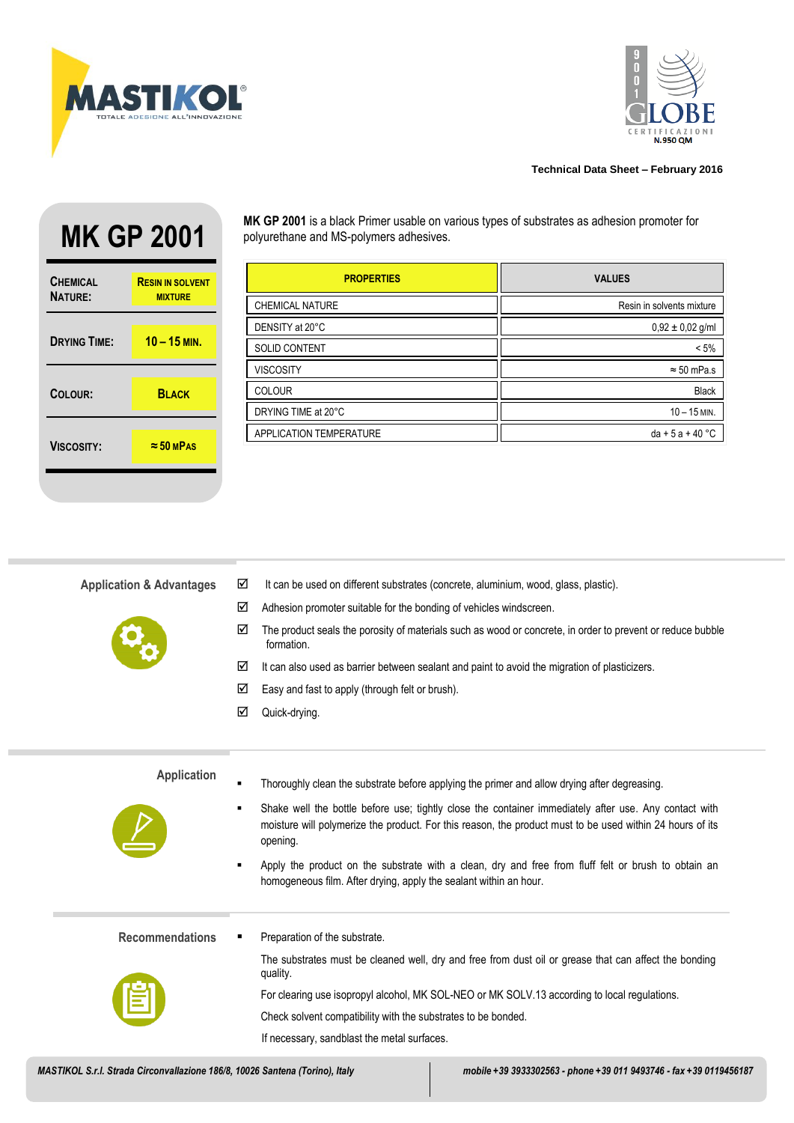



## **Technical Data Sheet – February 2016**

| <b>CHEMICAL</b><br><b>NATURE:</b> | <b>RESIN IN SOLVENT</b><br><b>MIXTURE</b> |
|-----------------------------------|-------------------------------------------|
| <b>DRYING TIME:</b>               | $10 - 15$ MIN.                            |
| COLOUR:                           | <b>BLACK</b>                              |
| <b>VISCOSITY:</b>                 | $\approx$ 50 MPAS                         |

**MK GP 2001** MK GP 2001 is a black Primer usable on various types of substrates as adhesion promoter for<br>polyurethane and MS-polymers adhesives. polyurethane and MS-polymers adhesives.

| <b>PROPERTIES</b>       | <b>VALUES</b>             |
|-------------------------|---------------------------|
| CHEMICAL NATURE         | Resin in solvents mixture |
| DENSITY at 20°C         | $0,92 \pm 0,02$ g/ml      |
| <b>SOLID CONTENT</b>    | $< 5\%$                   |
| <b>VISCOSITY</b>        | $\approx$ 50 mPa.s        |
| <b>COLOUR</b>           | <b>Black</b>              |
| DRYING TIME at 20°C     | $10 - 15$ MIN.            |
| APPLICATION TEMPERATURE | $da + 5a + 40$ °C         |

| <b>Application &amp; Advantages</b> | ☑              | It can be used on different substrates (concrete, aluminium, wood, glass, plastic).                                                                                                                                            |
|-------------------------------------|----------------|--------------------------------------------------------------------------------------------------------------------------------------------------------------------------------------------------------------------------------|
|                                     | ☑              | Adhesion promoter suitable for the bonding of vehicles windscreen.                                                                                                                                                             |
|                                     | ☑              | The product seals the porosity of materials such as wood or concrete, in order to prevent or reduce bubble<br>formation.                                                                                                       |
|                                     | ☑              | It can also used as barrier between sealant and paint to avoid the migration of plasticizers.                                                                                                                                  |
|                                     | ☑              | Easy and fast to apply (through felt or brush).                                                                                                                                                                                |
|                                     | ☑              | Quick-drying.                                                                                                                                                                                                                  |
|                                     |                |                                                                                                                                                                                                                                |
| <b>Application</b>                  |                |                                                                                                                                                                                                                                |
|                                     | $\blacksquare$ | Thoroughly clean the substrate before applying the primer and allow drying after degreasing.                                                                                                                                   |
|                                     | ٠              | Shake well the bottle before use; tightly close the container immediately after use. Any contact with<br>moisture will polymerize the product. For this reason, the product must to be used within 24 hours of its<br>opening. |
|                                     | п              | Apply the product on the substrate with a clean, dry and free from fluff felt or brush to obtain an<br>homogeneous film. After drying, apply the sealant within an hour.                                                       |
| <b>Recommendations</b>              | п              | Preparation of the substrate.                                                                                                                                                                                                  |
|                                     |                | The substrates must be cleaned well, dry and free from dust oil or grease that can affect the bonding<br>quality.                                                                                                              |
|                                     |                | For clearing use isopropyl alcohol, MK SOL-NEO or MK SOLV.13 according to local regulations.                                                                                                                                   |
|                                     |                | Check solvent compatibility with the substrates to be bonded.                                                                                                                                                                  |
|                                     |                | If necessary, sandblast the metal surfaces.                                                                                                                                                                                    |